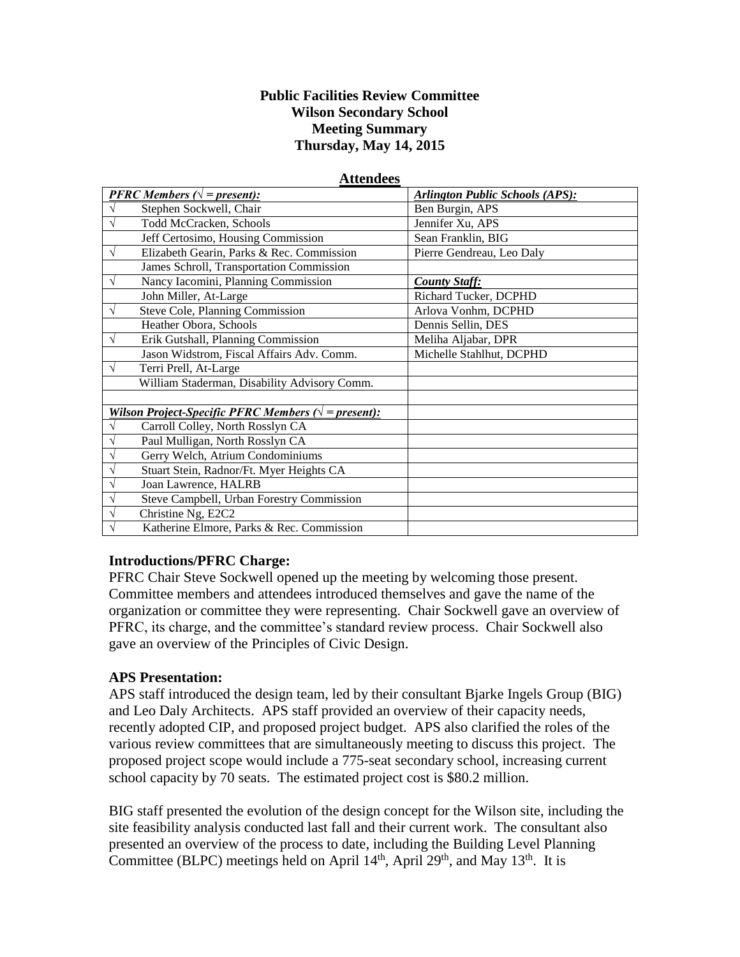#### **Public Facilities Review Committee Wilson Secondary School Meeting Summary Thursday, May 14, 2015**

| <b>PFRC</b> Members ( $\sqrt{}$ = present):<br><b>Arlington Public Schools (APS):</b><br>Stephen Sockwell, Chair<br>Ben Burgin, APS<br>Todd McCracken, Schools<br>Jennifer Xu, APS<br>Jeff Certosimo, Housing Commission<br>Sean Franklin, BIG<br>Elizabeth Gearin, Parks & Rec. Commission<br>Pierre Gendreau, Leo Daly<br>V<br>James Schroll, Transportation Commission<br>Nancy Iacomini, Planning Commission<br><b>County Staff:</b><br>$\sqrt{}$<br>John Miller, At-Large<br>Richard Tucker, DCPHD<br><b>Steve Cole, Planning Commission</b><br>Arlova Vonhm, DCPHD<br>$\sqrt{}$<br>Heather Obora, Schools<br>Dennis Sellin, DES<br>Erik Gutshall, Planning Commission<br>Meliha Aljabar, DPR<br>V<br>Jason Widstrom, Fiscal Affairs Adv. Comm.<br>Michelle Stahlhut, DCPHD<br>Terri Prell, At-Large<br>V<br>William Staderman, Disability Advisory Comm.<br>Wilson Project-Specific PFRC Members ( $\sqrt{}$ = present):<br>Carroll Colley, North Rosslyn CA<br>Paul Mulligan, North Rosslyn CA<br>Gerry Welch, Atrium Condominiums<br>Stuart Stein, Radnor/Ft. Myer Heights CA<br>Joan Lawrence, HALRB<br>Steve Campbell, Urban Forestry Commission<br>Christine Ng, E2C2<br>Katherine Elmore, Parks & Rec. Commission | Auchuces |  |  |  |
|-------------------------------------------------------------------------------------------------------------------------------------------------------------------------------------------------------------------------------------------------------------------------------------------------------------------------------------------------------------------------------------------------------------------------------------------------------------------------------------------------------------------------------------------------------------------------------------------------------------------------------------------------------------------------------------------------------------------------------------------------------------------------------------------------------------------------------------------------------------------------------------------------------------------------------------------------------------------------------------------------------------------------------------------------------------------------------------------------------------------------------------------------------------------------------------------------------------------------------|----------|--|--|--|
|                                                                                                                                                                                                                                                                                                                                                                                                                                                                                                                                                                                                                                                                                                                                                                                                                                                                                                                                                                                                                                                                                                                                                                                                                               |          |  |  |  |
|                                                                                                                                                                                                                                                                                                                                                                                                                                                                                                                                                                                                                                                                                                                                                                                                                                                                                                                                                                                                                                                                                                                                                                                                                               |          |  |  |  |
|                                                                                                                                                                                                                                                                                                                                                                                                                                                                                                                                                                                                                                                                                                                                                                                                                                                                                                                                                                                                                                                                                                                                                                                                                               |          |  |  |  |
|                                                                                                                                                                                                                                                                                                                                                                                                                                                                                                                                                                                                                                                                                                                                                                                                                                                                                                                                                                                                                                                                                                                                                                                                                               |          |  |  |  |
|                                                                                                                                                                                                                                                                                                                                                                                                                                                                                                                                                                                                                                                                                                                                                                                                                                                                                                                                                                                                                                                                                                                                                                                                                               |          |  |  |  |
|                                                                                                                                                                                                                                                                                                                                                                                                                                                                                                                                                                                                                                                                                                                                                                                                                                                                                                                                                                                                                                                                                                                                                                                                                               |          |  |  |  |
|                                                                                                                                                                                                                                                                                                                                                                                                                                                                                                                                                                                                                                                                                                                                                                                                                                                                                                                                                                                                                                                                                                                                                                                                                               |          |  |  |  |
|                                                                                                                                                                                                                                                                                                                                                                                                                                                                                                                                                                                                                                                                                                                                                                                                                                                                                                                                                                                                                                                                                                                                                                                                                               |          |  |  |  |
|                                                                                                                                                                                                                                                                                                                                                                                                                                                                                                                                                                                                                                                                                                                                                                                                                                                                                                                                                                                                                                                                                                                                                                                                                               |          |  |  |  |
|                                                                                                                                                                                                                                                                                                                                                                                                                                                                                                                                                                                                                                                                                                                                                                                                                                                                                                                                                                                                                                                                                                                                                                                                                               |          |  |  |  |
|                                                                                                                                                                                                                                                                                                                                                                                                                                                                                                                                                                                                                                                                                                                                                                                                                                                                                                                                                                                                                                                                                                                                                                                                                               |          |  |  |  |
|                                                                                                                                                                                                                                                                                                                                                                                                                                                                                                                                                                                                                                                                                                                                                                                                                                                                                                                                                                                                                                                                                                                                                                                                                               |          |  |  |  |
|                                                                                                                                                                                                                                                                                                                                                                                                                                                                                                                                                                                                                                                                                                                                                                                                                                                                                                                                                                                                                                                                                                                                                                                                                               |          |  |  |  |
|                                                                                                                                                                                                                                                                                                                                                                                                                                                                                                                                                                                                                                                                                                                                                                                                                                                                                                                                                                                                                                                                                                                                                                                                                               |          |  |  |  |
|                                                                                                                                                                                                                                                                                                                                                                                                                                                                                                                                                                                                                                                                                                                                                                                                                                                                                                                                                                                                                                                                                                                                                                                                                               |          |  |  |  |
|                                                                                                                                                                                                                                                                                                                                                                                                                                                                                                                                                                                                                                                                                                                                                                                                                                                                                                                                                                                                                                                                                                                                                                                                                               |          |  |  |  |
|                                                                                                                                                                                                                                                                                                                                                                                                                                                                                                                                                                                                                                                                                                                                                                                                                                                                                                                                                                                                                                                                                                                                                                                                                               |          |  |  |  |
|                                                                                                                                                                                                                                                                                                                                                                                                                                                                                                                                                                                                                                                                                                                                                                                                                                                                                                                                                                                                                                                                                                                                                                                                                               |          |  |  |  |
|                                                                                                                                                                                                                                                                                                                                                                                                                                                                                                                                                                                                                                                                                                                                                                                                                                                                                                                                                                                                                                                                                                                                                                                                                               |          |  |  |  |
|                                                                                                                                                                                                                                                                                                                                                                                                                                                                                                                                                                                                                                                                                                                                                                                                                                                                                                                                                                                                                                                                                                                                                                                                                               |          |  |  |  |
|                                                                                                                                                                                                                                                                                                                                                                                                                                                                                                                                                                                                                                                                                                                                                                                                                                                                                                                                                                                                                                                                                                                                                                                                                               |          |  |  |  |
|                                                                                                                                                                                                                                                                                                                                                                                                                                                                                                                                                                                                                                                                                                                                                                                                                                                                                                                                                                                                                                                                                                                                                                                                                               |          |  |  |  |
|                                                                                                                                                                                                                                                                                                                                                                                                                                                                                                                                                                                                                                                                                                                                                                                                                                                                                                                                                                                                                                                                                                                                                                                                                               |          |  |  |  |
|                                                                                                                                                                                                                                                                                                                                                                                                                                                                                                                                                                                                                                                                                                                                                                                                                                                                                                                                                                                                                                                                                                                                                                                                                               |          |  |  |  |

#### **Attendees**

#### **Introductions/PFRC Charge:**

PFRC Chair Steve Sockwell opened up the meeting by welcoming those present. Committee members and attendees introduced themselves and gave the name of the organization or committee they were representing. Chair Sockwell gave an overview of PFRC, its charge, and the committee's standard review process. Chair Sockwell also gave an overview of the Principles of Civic Design.

#### **APS Presentation:**

APS staff introduced the design team, led by their consultant Bjarke Ingels Group (BIG) and Leo Daly Architects. APS staff provided an overview of their capacity needs, recently adopted CIP, and proposed project budget. APS also clarified the roles of the various review committees that are simultaneously meeting to discuss this project. The proposed project scope would include a 775-seat secondary school, increasing current school capacity by 70 seats. The estimated project cost is \$80.2 million.

BIG staff presented the evolution of the design concept for the Wilson site, including the site feasibility analysis conducted last fall and their current work. The consultant also presented an overview of the process to date, including the Building Level Planning Committee (BLPC) meetings held on April  $14<sup>th</sup>$ , April  $29<sup>th</sup>$ , and May  $13<sup>th</sup>$ . It is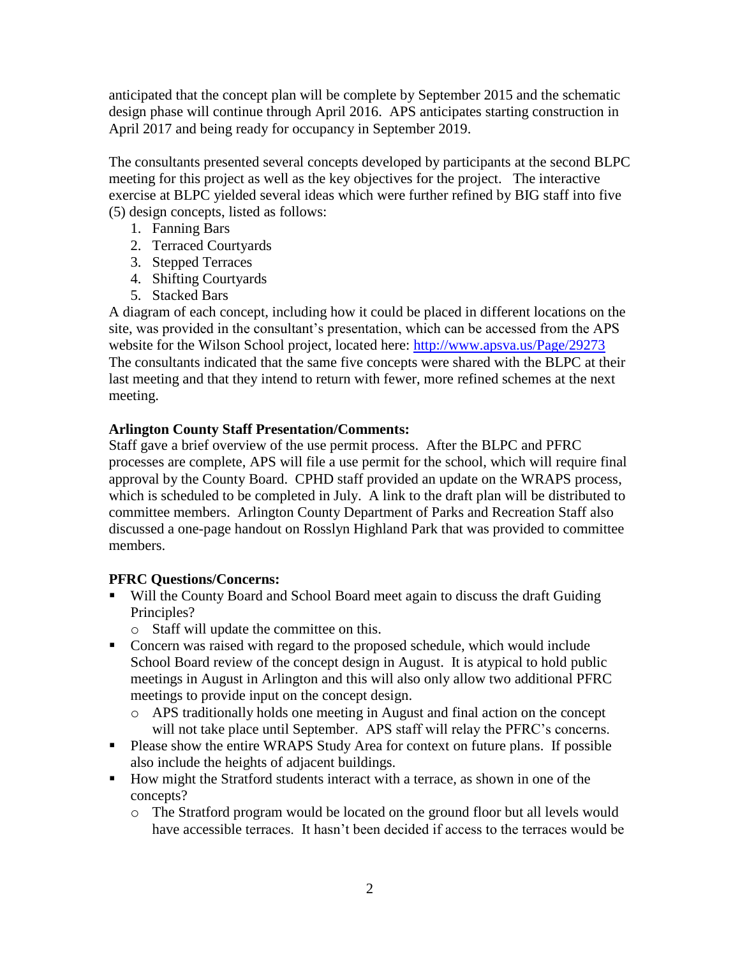anticipated that the concept plan will be complete by September 2015 and the schematic design phase will continue through April 2016. APS anticipates starting construction in April 2017 and being ready for occupancy in September 2019.

The consultants presented several concepts developed by participants at the second BLPC meeting for this project as well as the key objectives for the project. The interactive exercise at BLPC yielded several ideas which were further refined by BIG staff into five (5) design concepts, listed as follows:

- 1. Fanning Bars
- 2. Terraced Courtyards
- 3. Stepped Terraces
- 4. Shifting Courtyards
- 5. Stacked Bars

A diagram of each concept, including how it could be placed in different locations on the site, was provided in the consultant's presentation, which can be accessed from the APS website for the Wilson School project, located here:<http://www.apsva.us/Page/29273> The consultants indicated that the same five concepts were shared with the BLPC at their last meeting and that they intend to return with fewer, more refined schemes at the next meeting.

## **Arlington County Staff Presentation/Comments:**

Staff gave a brief overview of the use permit process. After the BLPC and PFRC processes are complete, APS will file a use permit for the school, which will require final approval by the County Board. CPHD staff provided an update on the WRAPS process, which is scheduled to be completed in July. A link to the draft plan will be distributed to committee members. Arlington County Department of Parks and Recreation Staff also discussed a one-page handout on Rosslyn Highland Park that was provided to committee members.

#### **PFRC Questions/Concerns:**

- Will the County Board and School Board meet again to discuss the draft Guiding Principles?
	- o Staff will update the committee on this.
- Concern was raised with regard to the proposed schedule, which would include School Board review of the concept design in August. It is atypical to hold public meetings in August in Arlington and this will also only allow two additional PFRC meetings to provide input on the concept design.
	- o APS traditionally holds one meeting in August and final action on the concept will not take place until September. APS staff will relay the PFRC's concerns.
- Please show the entire WRAPS Study Area for context on future plans. If possible also include the heights of adjacent buildings.
- How might the Stratford students interact with a terrace, as shown in one of the concepts?
	- o The Stratford program would be located on the ground floor but all levels would have accessible terraces. It hasn't been decided if access to the terraces would be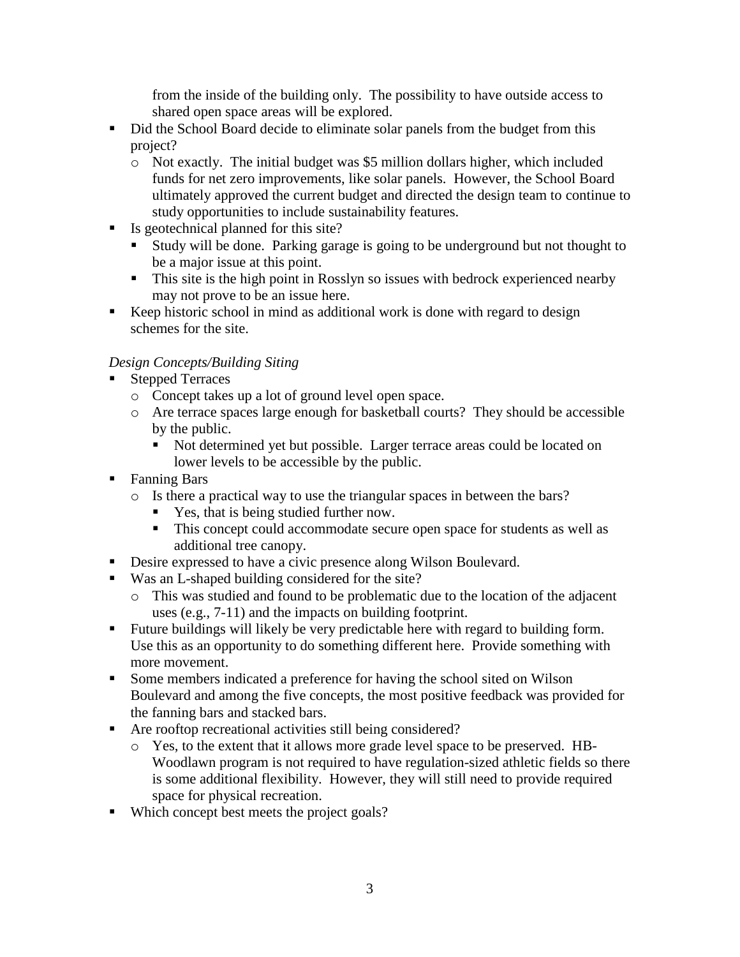from the inside of the building only. The possibility to have outside access to shared open space areas will be explored.

- Did the School Board decide to eliminate solar panels from the budget from this project?
	- o Not exactly. The initial budget was \$5 million dollars higher, which included funds for net zero improvements, like solar panels. However, the School Board ultimately approved the current budget and directed the design team to continue to study opportunities to include sustainability features.
- Is geotechnical planned for this site?
	- Study will be done. Parking garage is going to be underground but not thought to be a major issue at this point.
	- This site is the high point in Rosslyn so issues with bedrock experienced nearby may not prove to be an issue here.
- Keep historic school in mind as additional work is done with regard to design schemes for the site.

# *Design Concepts/Building Siting*

- Stepped Terraces
	- o Concept takes up a lot of ground level open space.
	- o Are terrace spaces large enough for basketball courts? They should be accessible by the public.
		- Not determined yet but possible. Larger terrace areas could be located on lower levels to be accessible by the public.
- Fanning Bars
	- o Is there a practical way to use the triangular spaces in between the bars?
		- Yes, that is being studied further now.
		- This concept could accommodate secure open space for students as well as additional tree canopy.
- Desire expressed to have a civic presence along Wilson Boulevard.
- Was an L-shaped building considered for the site?
	- o This was studied and found to be problematic due to the location of the adjacent uses (e.g., 7-11) and the impacts on building footprint.
- Future buildings will likely be very predictable here with regard to building form. Use this as an opportunity to do something different here. Provide something with more movement.
- Some members indicated a preference for having the school sited on Wilson Boulevard and among the five concepts, the most positive feedback was provided for the fanning bars and stacked bars.
- Are rooftop recreational activities still being considered?
	- o Yes, to the extent that it allows more grade level space to be preserved. HB-Woodlawn program is not required to have regulation-sized athletic fields so there is some additional flexibility. However, they will still need to provide required space for physical recreation.
- Which concept best meets the project goals?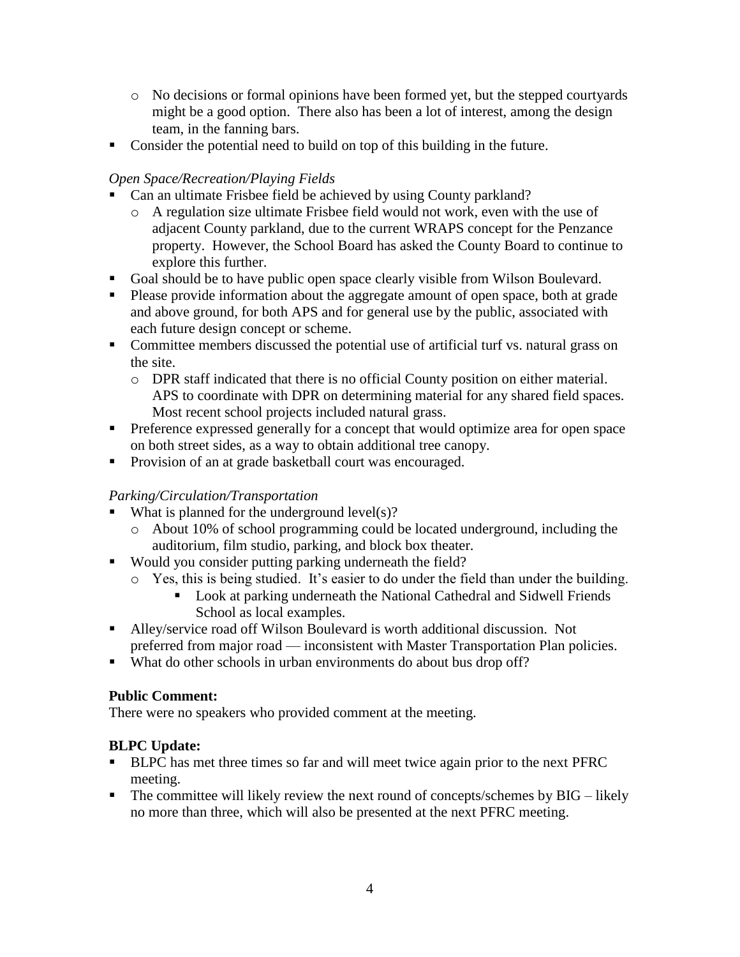- o No decisions or formal opinions have been formed yet, but the stepped courtyards might be a good option. There also has been a lot of interest, among the design team, in the fanning bars.
- Consider the potential need to build on top of this building in the future.

## *Open Space/Recreation/Playing Fields*

- Can an ultimate Frisbee field be achieved by using County parkland?
	- o A regulation size ultimate Frisbee field would not work, even with the use of adjacent County parkland, due to the current WRAPS concept for the Penzance property. However, the School Board has asked the County Board to continue to explore this further.
- Goal should be to have public open space clearly visible from Wilson Boulevard.
- Please provide information about the aggregate amount of open space, both at grade and above ground, for both APS and for general use by the public, associated with each future design concept or scheme.
- Committee members discussed the potential use of artificial turf vs. natural grass on the site.
	- o DPR staff indicated that there is no official County position on either material. APS to coordinate with DPR on determining material for any shared field spaces. Most recent school projects included natural grass.
- **Preference expressed generally for a concept that would optimize area for open space** on both street sides, as a way to obtain additional tree canopy.
- Provision of an at grade basketball court was encouraged.

# *Parking/Circulation/Transportation*

- What is planned for the underground level(s)?
	- o About 10% of school programming could be located underground, including the auditorium, film studio, parking, and block box theater.
- Would you consider putting parking underneath the field?
	- o Yes, this is being studied. It's easier to do under the field than under the building.
		- Look at parking underneath the National Cathedral and Sidwell Friends School as local examples.
- Alley/service road off Wilson Boulevard is worth additional discussion. Not preferred from major road –– inconsistent with Master Transportation Plan policies.
- What do other schools in urban environments do about bus drop off?

## **Public Comment:**

There were no speakers who provided comment at the meeting.

# **BLPC Update:**

- **BLPC** has met three times so far and will meet twice again prior to the next PFRC meeting.
- $\blacksquare$  The committee will likely review the next round of concepts/schemes by BIG likely no more than three, which will also be presented at the next PFRC meeting.